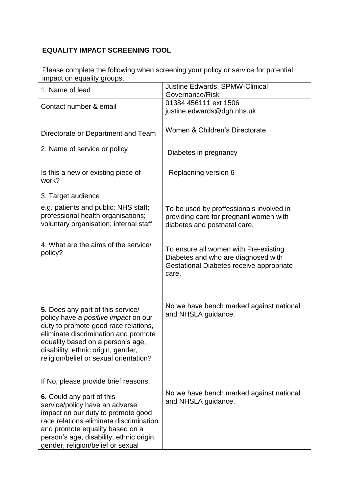## **EQUALITY IMPACT SCREENING TOOL**

Please complete the following when screening your policy or service for potential impact on equality groups.

| 1. Name of lead                                                                                                                                                                                                                                                                | Justine Edwards, SPMW-Clinical<br>Governance/Risk                                                                                 |
|--------------------------------------------------------------------------------------------------------------------------------------------------------------------------------------------------------------------------------------------------------------------------------|-----------------------------------------------------------------------------------------------------------------------------------|
| Contact number & email                                                                                                                                                                                                                                                         | 01384 456111 ext 1506<br>justine.edwards@dgh.nhs.uk                                                                               |
| Directorate or Department and Team                                                                                                                                                                                                                                             | Women & Children's Directorate                                                                                                    |
| 2. Name of service or policy                                                                                                                                                                                                                                                   | Diabetes in pregnancy                                                                                                             |
| Is this a new or existing piece of<br>work?                                                                                                                                                                                                                                    | Replacning version 6                                                                                                              |
| 3. Target audience                                                                                                                                                                                                                                                             |                                                                                                                                   |
| e.g. patients and public; NHS staff;<br>professional health organisations;<br>voluntary organisation; internal staff                                                                                                                                                           | To be used by proffessionals involved in<br>providing care for pregnant women with<br>diabetes and postnatal care.                |
| 4. What are the aims of the service/<br>policy?                                                                                                                                                                                                                                | To ensure all women with Pre-existing<br>Diabetes and who are diagnosed with<br>Gestational Diabetes receive appropriate<br>care. |
| 5. Does any part of this service/<br>policy have a positive impact on our<br>duty to promote good race relations,<br>eliminate discrimination and promote<br>equality based on a person's age,<br>disability, ethnic origin, gender,<br>religion/belief or sexual orientation? | No we have bench marked against national<br>and NHSLA guidance.                                                                   |
| If No, please provide brief reasons.                                                                                                                                                                                                                                           |                                                                                                                                   |
| 6. Could any part of this<br>service/policy have an adverse<br>impact on our duty to promote good<br>race relations eliminate discrimination<br>and promote equality based on a<br>person's age, disability, ethnic origin,<br>gender, religion/belief or sexual               | No we have bench marked against national<br>and NHSLA guidance.                                                                   |